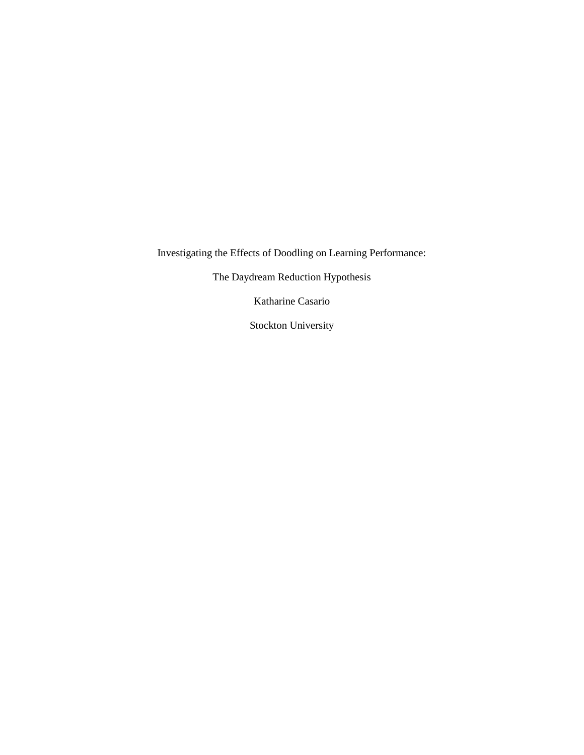Investigating the Effects of Doodling on Learning Performance:

The Daydream Reduction Hypothesis

Katharine Casario

Stockton University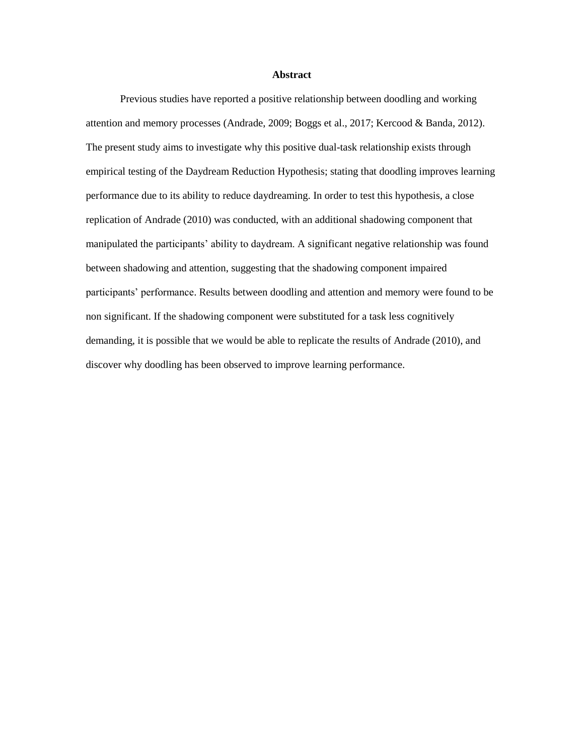#### **Abstract**

Previous studies have reported a positive relationship between doodling and working attention and memory processes (Andrade, 2009; Boggs et al., 2017; Kercood & Banda, 2012). The present study aims to investigate why this positive dual-task relationship exists through empirical testing of the Daydream Reduction Hypothesis; stating that doodling improves learning performance due to its ability to reduce daydreaming. In order to test this hypothesis, a close replication of Andrade (2010) was conducted, with an additional shadowing component that manipulated the participants' ability to daydream. A significant negative relationship was found between shadowing and attention, suggesting that the shadowing component impaired participants' performance. Results between doodling and attention and memory were found to be non significant. If the shadowing component were substituted for a task less cognitively demanding, it is possible that we would be able to replicate the results of Andrade (2010), and discover why doodling has been observed to improve learning performance.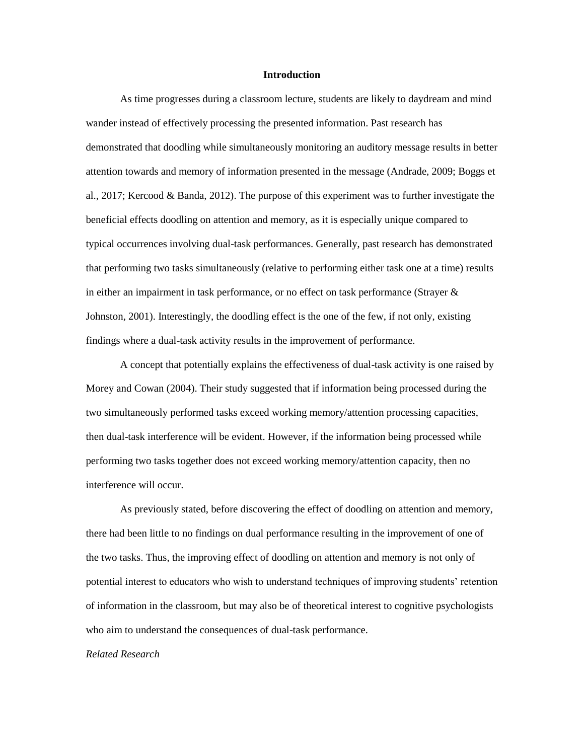#### **Introduction**

As time progresses during a classroom lecture, students are likely to daydream and mind wander instead of effectively processing the presented information. Past research has demonstrated that doodling while simultaneously monitoring an auditory message results in better attention towards and memory of information presented in the message (Andrade, 2009; Boggs et al., 2017; Kercood & Banda, 2012). The purpose of this experiment was to further investigate the beneficial effects doodling on attention and memory, as it is especially unique compared to typical occurrences involving dual-task performances. Generally, past research has demonstrated that performing two tasks simultaneously (relative to performing either task one at a time) results in either an impairment in task performance, or no effect on task performance (Strayer & Johnston, 2001). Interestingly, the doodling effect is the one of the few, if not only, existing findings where a dual-task activity results in the improvement of performance.

A concept that potentially explains the effectiveness of dual-task activity is one raised by Morey and Cowan (2004). Their study suggested that if information being processed during the two simultaneously performed tasks exceed working memory/attention processing capacities, then dual-task interference will be evident. However, if the information being processed while performing two tasks together does not exceed working memory/attention capacity, then no interference will occur.

As previously stated, before discovering the effect of doodling on attention and memory, there had been little to no findings on dual performance resulting in the improvement of one of the two tasks. Thus, the improving effect of doodling on attention and memory is not only of potential interest to educators who wish to understand techniques of improving students' retention of information in the classroom, but may also be of theoretical interest to cognitive psychologists who aim to understand the consequences of dual-task performance.

# *Related Research*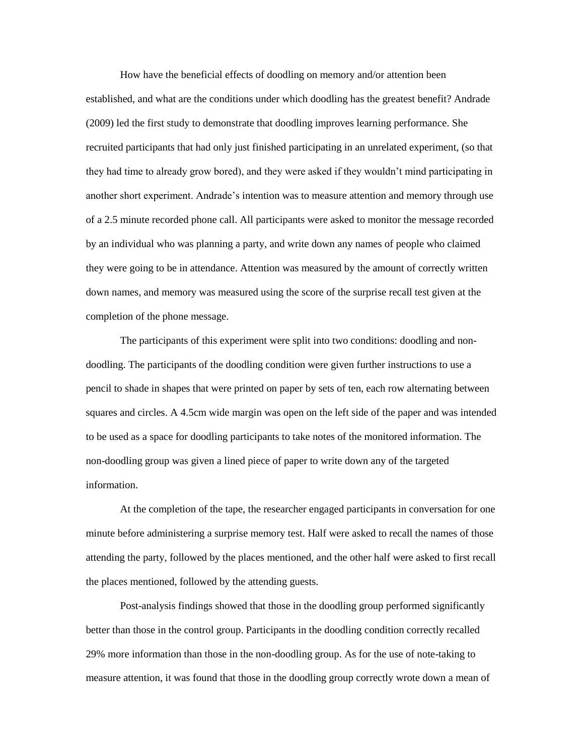How have the beneficial effects of doodling on memory and/or attention been established, and what are the conditions under which doodling has the greatest benefit? Andrade (2009) led the first study to demonstrate that doodling improves learning performance. She recruited participants that had only just finished participating in an unrelated experiment, (so that they had time to already grow bored), and they were asked if they wouldn't mind participating in another short experiment. Andrade's intention was to measure attention and memory through use of a 2.5 minute recorded phone call. All participants were asked to monitor the message recorded by an individual who was planning a party, and write down any names of people who claimed they were going to be in attendance. Attention was measured by the amount of correctly written down names, and memory was measured using the score of the surprise recall test given at the completion of the phone message.

The participants of this experiment were split into two conditions: doodling and nondoodling. The participants of the doodling condition were given further instructions to use a pencil to shade in shapes that were printed on paper by sets of ten, each row alternating between squares and circles. A 4.5cm wide margin was open on the left side of the paper and was intended to be used as a space for doodling participants to take notes of the monitored information. The non-doodling group was given a lined piece of paper to write down any of the targeted information.

At the completion of the tape, the researcher engaged participants in conversation for one minute before administering a surprise memory test. Half were asked to recall the names of those attending the party, followed by the places mentioned, and the other half were asked to first recall the places mentioned, followed by the attending guests.

Post-analysis findings showed that those in the doodling group performed significantly better than those in the control group. Participants in the doodling condition correctly recalled 29% more information than those in the non-doodling group. As for the use of note-taking to measure attention, it was found that those in the doodling group correctly wrote down a mean of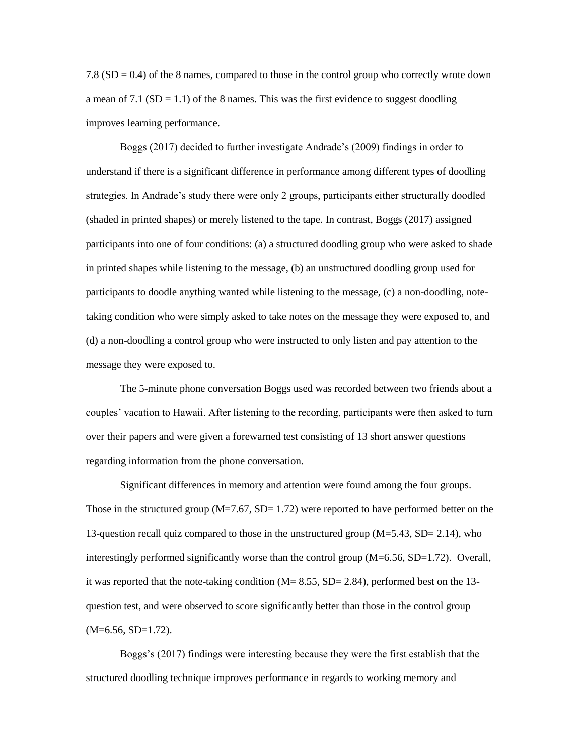7.8 (SD = 0.4) of the 8 names, compared to those in the control group who correctly wrote down a mean of 7.1 ( $SD = 1.1$ ) of the 8 names. This was the first evidence to suggest doodling improves learning performance.

Boggs (2017) decided to further investigate Andrade's (2009) findings in order to understand if there is a significant difference in performance among different types of doodling strategies. In Andrade's study there were only 2 groups, participants either structurally doodled (shaded in printed shapes) or merely listened to the tape. In contrast, Boggs (2017) assigned participants into one of four conditions: (a) a structured doodling group who were asked to shade in printed shapes while listening to the message, (b) an unstructured doodling group used for participants to doodle anything wanted while listening to the message, (c) a non-doodling, notetaking condition who were simply asked to take notes on the message they were exposed to, and (d) a non-doodling a control group who were instructed to only listen and pay attention to the message they were exposed to.

The 5-minute phone conversation Boggs used was recorded between two friends about a couples' vacation to Hawaii. After listening to the recording, participants were then asked to turn over their papers and were given a forewarned test consisting of 13 short answer questions regarding information from the phone conversation.

Significant differences in memory and attention were found among the four groups. Those in the structured group  $(M=7.67, SD= 1.72)$  were reported to have performed better on the 13-question recall quiz compared to those in the unstructured group (M=5.43, SD= 2.14), who interestingly performed significantly worse than the control group  $(M=6.56, SD=1.72)$ . Overall, it was reported that the note-taking condition  $(M= 8.55, SD= 2.84)$ , performed best on the 13question test, and were observed to score significantly better than those in the control group  $(M=6.56, SD=1.72)$ .

Boggs's (2017) findings were interesting because they were the first establish that the structured doodling technique improves performance in regards to working memory and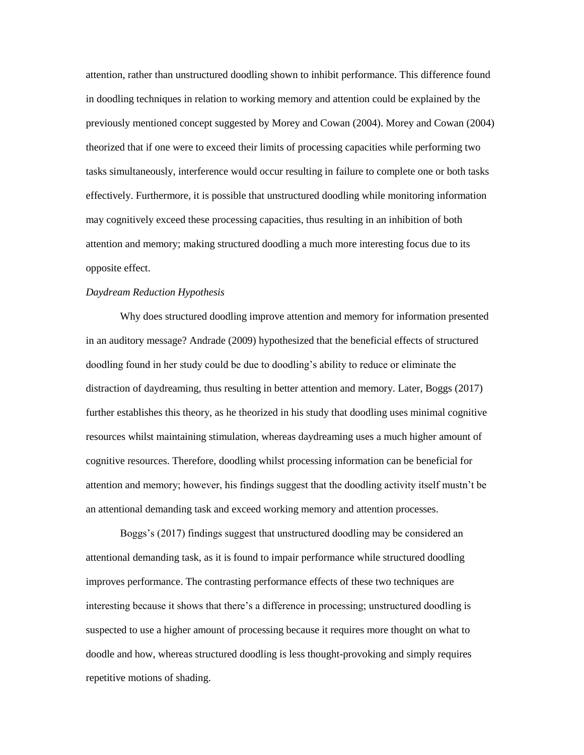attention, rather than unstructured doodling shown to inhibit performance. This difference found in doodling techniques in relation to working memory and attention could be explained by the previously mentioned concept suggested by Morey and Cowan (2004). Morey and Cowan (2004) theorized that if one were to exceed their limits of processing capacities while performing two tasks simultaneously, interference would occur resulting in failure to complete one or both tasks effectively. Furthermore, it is possible that unstructured doodling while monitoring information may cognitively exceed these processing capacities, thus resulting in an inhibition of both attention and memory; making structured doodling a much more interesting focus due to its opposite effect.

#### *Daydream Reduction Hypothesis*

Why does structured doodling improve attention and memory for information presented in an auditory message? Andrade (2009) hypothesized that the beneficial effects of structured doodling found in her study could be due to doodling's ability to reduce or eliminate the distraction of daydreaming, thus resulting in better attention and memory. Later, Boggs (2017) further establishes this theory, as he theorized in his study that doodling uses minimal cognitive resources whilst maintaining stimulation, whereas daydreaming uses a much higher amount of cognitive resources. Therefore, doodling whilst processing information can be beneficial for attention and memory; however, his findings suggest that the doodling activity itself mustn't be an attentional demanding task and exceed working memory and attention processes.

Boggs's (2017) findings suggest that unstructured doodling may be considered an attentional demanding task, as it is found to impair performance while structured doodling improves performance. The contrasting performance effects of these two techniques are interesting because it shows that there's a difference in processing; unstructured doodling is suspected to use a higher amount of processing because it requires more thought on what to doodle and how, whereas structured doodling is less thought-provoking and simply requires repetitive motions of shading.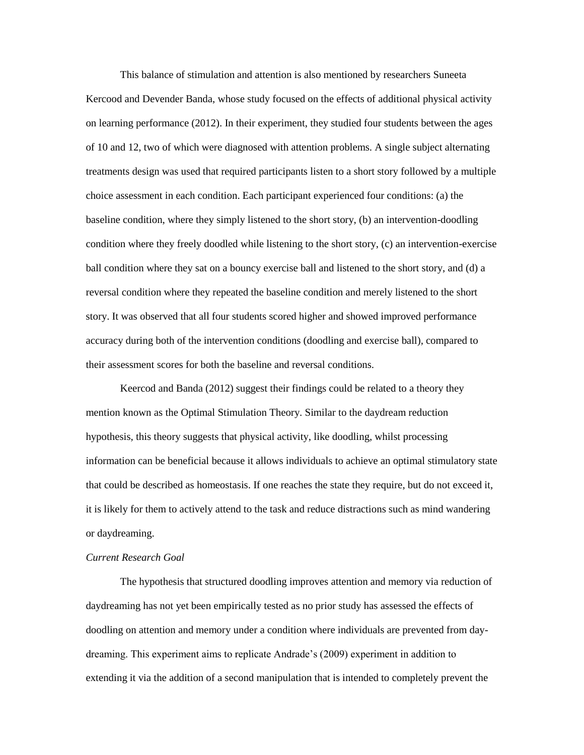This balance of stimulation and attention is also mentioned by researchers Suneeta Kercood and Devender Banda, whose study focused on the effects of additional physical activity on learning performance (2012). In their experiment, they studied four students between the ages of 10 and 12, two of which were diagnosed with attention problems. A single subject alternating treatments design was used that required participants listen to a short story followed by a multiple choice assessment in each condition. Each participant experienced four conditions: (a) the baseline condition, where they simply listened to the short story, (b) an intervention-doodling condition where they freely doodled while listening to the short story, (c) an intervention-exercise ball condition where they sat on a bouncy exercise ball and listened to the short story, and (d) a reversal condition where they repeated the baseline condition and merely listened to the short story. It was observed that all four students scored higher and showed improved performance accuracy during both of the intervention conditions (doodling and exercise ball), compared to their assessment scores for both the baseline and reversal conditions.

Keercod and Banda (2012) suggest their findings could be related to a theory they mention known as the Optimal Stimulation Theory. Similar to the daydream reduction hypothesis, this theory suggests that physical activity, like doodling, whilst processing information can be beneficial because it allows individuals to achieve an optimal stimulatory state that could be described as homeostasis. If one reaches the state they require, but do not exceed it, it is likely for them to actively attend to the task and reduce distractions such as mind wandering or daydreaming.

# *Current Research Goal*

The hypothesis that structured doodling improves attention and memory via reduction of daydreaming has not yet been empirically tested as no prior study has assessed the effects of doodling on attention and memory under a condition where individuals are prevented from daydreaming. This experiment aims to replicate Andrade's (2009) experiment in addition to extending it via the addition of a second manipulation that is intended to completely prevent the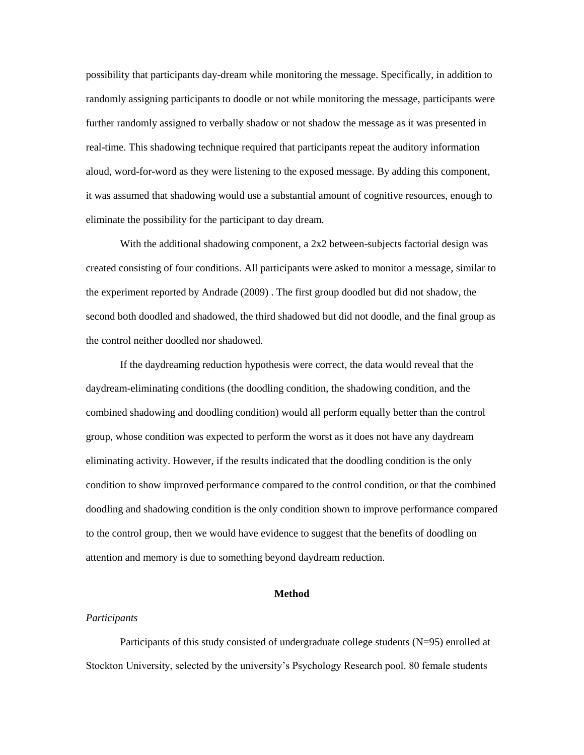possibility that participants day-dream while monitoring the message. Specifically, in addition to randomly assigning participants to doodle or not while monitoring the message, participants were further randomly assigned to verbally shadow or not shadow the message as it was presented in real-time. This shadowing technique required that participants repeat the auditory information aloud, word-for-word as they were listening to the exposed message. By adding this component, it was assumed that shadowing would use a substantial amount of cognitive resources, enough to eliminate the possibility for the participant to day dream.

With the additional shadowing component, a 2x2 between-subjects factorial design was created consisting of four conditions. All participants were asked to monitor a message, similar to the experiment reported by Andrade (2009) . The first group doodled but did not shadow, the second both doodled and shadowed, the third shadowed but did not doodle, and the final group as the control neither doodled nor shadowed.

If the daydreaming reduction hypothesis were correct, the data would reveal that the daydream-eliminating conditions (the doodling condition, the shadowing condition, and the combined shadowing and doodling condition) would all perform equally better than the control group, whose condition was expected to perform the worst as it does not have any daydream eliminating activity. However, if the results indicated that the doodling condition is the only condition to show improved performance compared to the control condition, or that the combined doodling and shadowing condition is the only condition shown to improve performance compared to the control group, then we would have evidence to suggest that the benefits of doodling on attention and memory is due to something beyond daydream reduction.

# **Method**

# *Participants*

Participants of this study consisted of undergraduate college students (N=95) enrolled at Stockton University, selected by the university's Psychology Research pool. 80 female students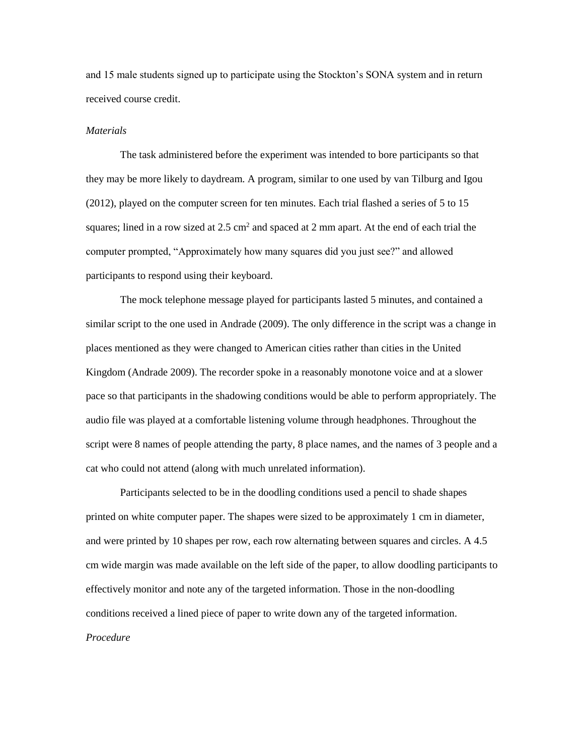and 15 male students signed up to participate using the Stockton's SONA system and in return received course credit.

## *Materials*

The task administered before the experiment was intended to bore participants so that they may be more likely to daydream. A program, similar to one used by van Tilburg and Igou (2012), played on the computer screen for ten minutes. Each trial flashed a series of 5 to 15 squares; lined in a row sized at  $2.5 \text{ cm}^2$  and spaced at 2 mm apart. At the end of each trial the computer prompted, "Approximately how many squares did you just see?" and allowed participants to respond using their keyboard.

The mock telephone message played for participants lasted 5 minutes, and contained a similar script to the one used in Andrade (2009). The only difference in the script was a change in places mentioned as they were changed to American cities rather than cities in the United Kingdom (Andrade 2009). The recorder spoke in a reasonably monotone voice and at a slower pace so that participants in the shadowing conditions would be able to perform appropriately. The audio file was played at a comfortable listening volume through headphones. Throughout the script were 8 names of people attending the party, 8 place names, and the names of 3 people and a cat who could not attend (along with much unrelated information).

Participants selected to be in the doodling conditions used a pencil to shade shapes printed on white computer paper. The shapes were sized to be approximately 1 cm in diameter, and were printed by 10 shapes per row, each row alternating between squares and circles. A 4.5 cm wide margin was made available on the left side of the paper, to allow doodling participants to effectively monitor and note any of the targeted information. Those in the non-doodling conditions received a lined piece of paper to write down any of the targeted information. *Procedure*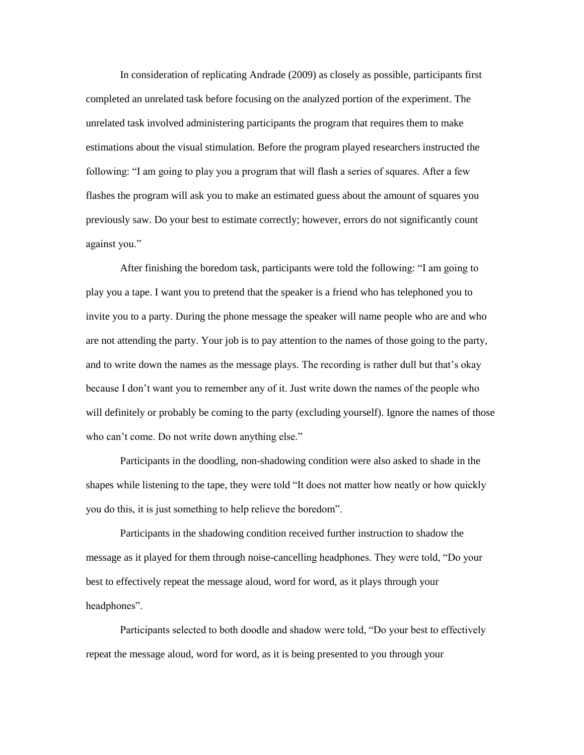In consideration of replicating Andrade (2009) as closely as possible, participants first completed an unrelated task before focusing on the analyzed portion of the experiment. The unrelated task involved administering participants the program that requires them to make estimations about the visual stimulation. Before the program played researchers instructed the following: "I am going to play you a program that will flash a series of squares. After a few flashes the program will ask you to make an estimated guess about the amount of squares you previously saw. Do your best to estimate correctly; however, errors do not significantly count against you."

After finishing the boredom task, participants were told the following: "I am going to play you a tape. I want you to pretend that the speaker is a friend who has telephoned you to invite you to a party. During the phone message the speaker will name people who are and who are not attending the party. Your job is to pay attention to the names of those going to the party, and to write down the names as the message plays. The recording is rather dull but that's okay because I don't want you to remember any of it. Just write down the names of the people who will definitely or probably be coming to the party (excluding yourself). Ignore the names of those who can't come. Do not write down anything else."

Participants in the doodling, non-shadowing condition were also asked to shade in the shapes while listening to the tape, they were told "It does not matter how neatly or how quickly you do this, it is just something to help relieve the boredom".

Participants in the shadowing condition received further instruction to shadow the message as it played for them through noise-cancelling headphones. They were told, "Do your best to effectively repeat the message aloud, word for word, as it plays through your headphones".

Participants selected to both doodle and shadow were told, "Do your best to effectively repeat the message aloud, word for word, as it is being presented to you through your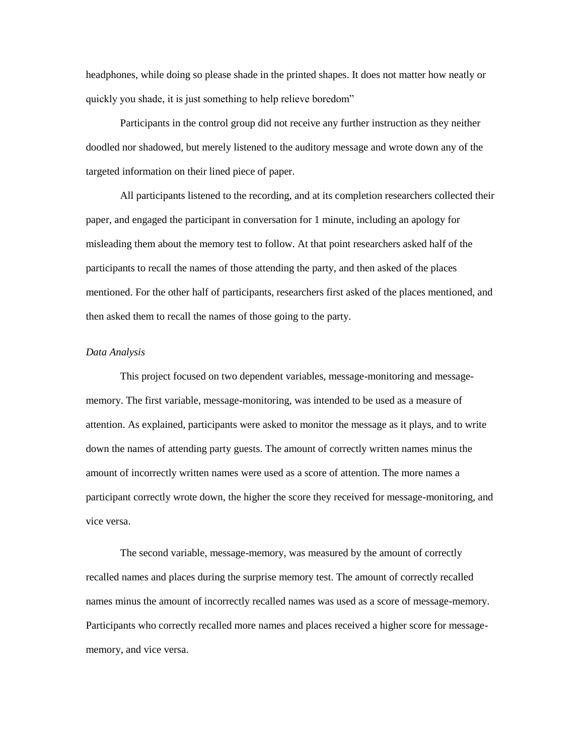headphones, while doing so please shade in the printed shapes. It does not matter how neatly or quickly you shade, it is just something to help relieve boredom"

Participants in the control group did not receive any further instruction as they neither doodled nor shadowed, but merely listened to the auditory message and wrote down any of the targeted information on their lined piece of paper.

All participants listened to the recording, and at its completion researchers collected their paper, and engaged the participant in conversation for 1 minute, including an apology for misleading them about the memory test to follow. At that point researchers asked half of the participants to recall the names of those attending the party, and then asked of the places mentioned. For the other half of participants, researchers first asked of the places mentioned, and then asked them to recall the names of those going to the party.

# *Data Analysis*

This project focused on two dependent variables, message-monitoring and messagememory. The first variable, message-monitoring, was intended to be used as a measure of attention. As explained, participants were asked to monitor the message as it plays, and to write down the names of attending party guests. The amount of correctly written names minus the amount of incorrectly written names were used as a score of attention. The more names a participant correctly wrote down, the higher the score they received for message-monitoring, and vice versa.

The second variable, message-memory, was measured by the amount of correctly recalled names and places during the surprise memory test. The amount of correctly recalled names minus the amount of incorrectly recalled names was used as a score of message-memory. Participants who correctly recalled more names and places received a higher score for messagememory, and vice versa.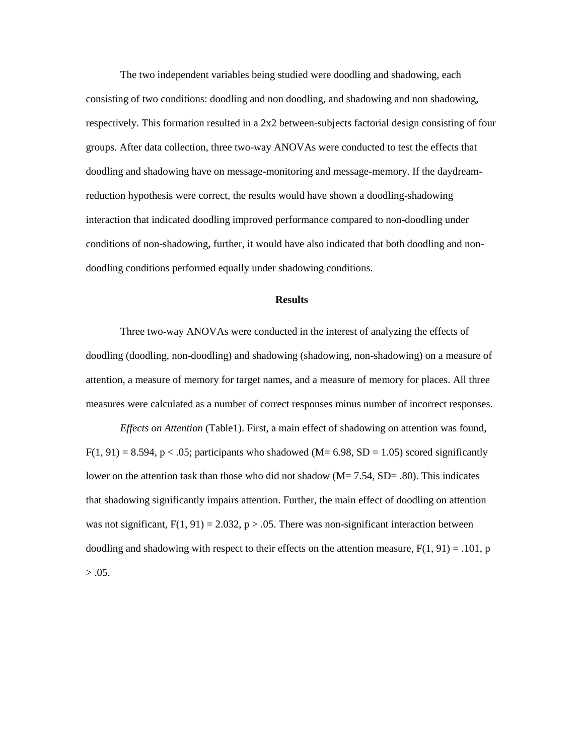The two independent variables being studied were doodling and shadowing, each consisting of two conditions: doodling and non doodling, and shadowing and non shadowing, respectively. This formation resulted in a 2x2 between-subjects factorial design consisting of four groups. After data collection, three two-way ANOVAs were conducted to test the effects that doodling and shadowing have on message-monitoring and message-memory. If the daydreamreduction hypothesis were correct, the results would have shown a doodling-shadowing interaction that indicated doodling improved performance compared to non-doodling under conditions of non-shadowing, further, it would have also indicated that both doodling and nondoodling conditions performed equally under shadowing conditions.

#### **Results**

Three two-way ANOVAs were conducted in the interest of analyzing the effects of doodling (doodling, non-doodling) and shadowing (shadowing, non-shadowing) on a measure of attention, a measure of memory for target names, and a measure of memory for places. All three measures were calculated as a number of correct responses minus number of incorrect responses.

*Effects on Attention* (Table1). First, a main effect of shadowing on attention was found,  $F(1, 91) = 8.594$ , p < .05; participants who shadowed (M = 6.98, SD = 1.05) scored significantly lower on the attention task than those who did not shadow ( $M = 7.54$ ,  $SD = .80$ ). This indicates that shadowing significantly impairs attention. Further, the main effect of doodling on attention was not significant,  $F(1, 91) = 2.032$ ,  $p > .05$ . There was non-significant interaction between doodling and shadowing with respect to their effects on the attention measure,  $F(1, 91) = .101$ , p  $> .05.$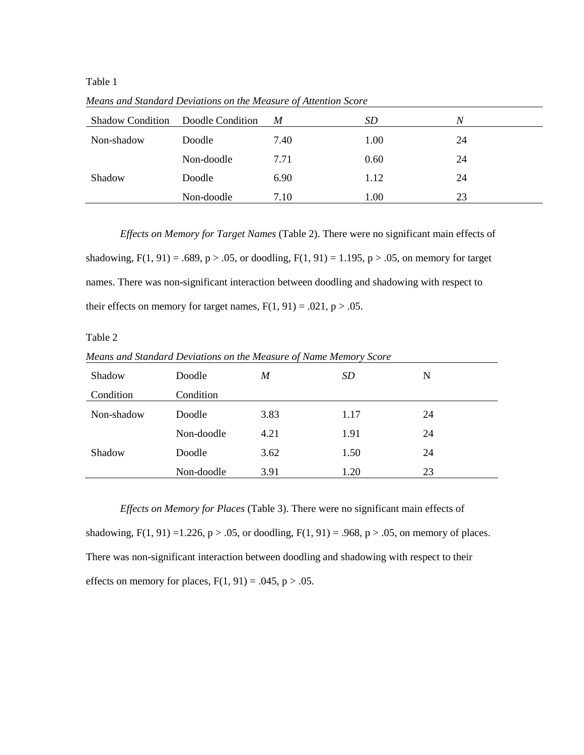Table 1

| <b>Shadow Condition</b> | Doodle Condition | M    | SD   | N  |
|-------------------------|------------------|------|------|----|
| Non-shadow              | Doodle           | 7.40 | 1.00 | 24 |
| Shadow                  | Non-doodle       | 7.71 | 0.60 | 24 |
|                         | Doodle           | 6.90 | 1.12 | 24 |
|                         | Non-doodle       | 7.10 | 1.00 | 23 |

*Means and Standard Deviations on the Measure of Attention Score*

*Effects on Memory for Target Names* (Table 2). There were no significant main effects of shadowing,  $F(1, 91) = .689$ ,  $p > .05$ , or doodling,  $F(1, 91) = 1.195$ ,  $p > .05$ , on memory for target names. There was non-significant interaction between doodling and shadowing with respect to their effects on memory for target names,  $F(1, 91) = .021$ ,  $p > .05$ .

# Table 2

*Means and Standard Deviations on the Measure of Name Memory Score* 

| Shadow     | Doodle     | M    | SD   | N  |
|------------|------------|------|------|----|
| Condition  | Condition  |      |      |    |
| Non-shadow | Doodle     | 3.83 | 1.17 | 24 |
|            | Non-doodle | 4.21 | 1.91 | 24 |
| Shadow     | Doodle     | 3.62 | 1.50 | 24 |
|            | Non-doodle | 3.91 | 1.20 | 23 |

*Effects on Memory for Places* (Table 3). There were no significant main effects of shadowing,  $F(1, 91) = 1.226$ ,  $p > .05$ , or doodling,  $F(1, 91) = .968$ ,  $p > .05$ , on memory of places. There was non-significant interaction between doodling and shadowing with respect to their effects on memory for places,  $F(1, 91) = .045$ ,  $p > .05$ .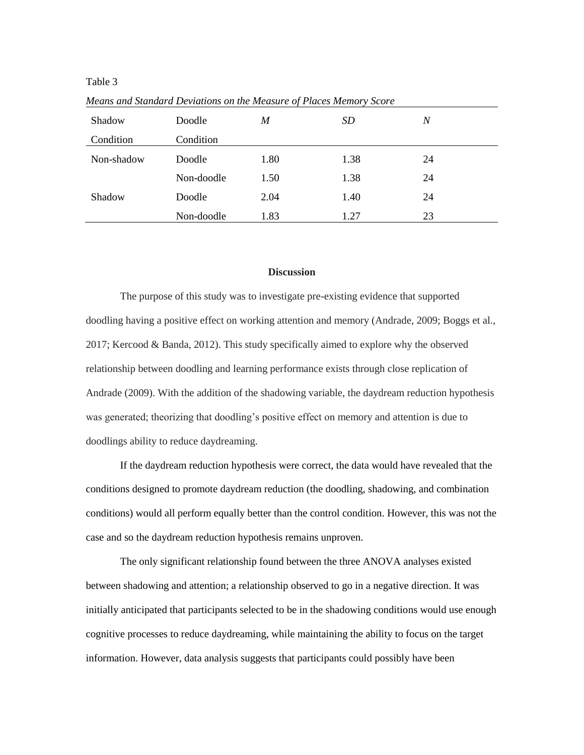Table 3

| Shadow     | Doodle     | $\boldsymbol{M}$ | <i>SD</i> | $\boldsymbol{N}$ |
|------------|------------|------------------|-----------|------------------|
| Condition  | Condition  |                  |           |                  |
| Non-shadow | Doodle     | 1.80             | 1.38      | 24               |
|            | Non-doodle | 1.50             | 1.38      | 24               |
| Shadow     | Doodle     | 2.04             | 1.40      | 24               |
|            | Non-doodle | 1.83             | 1.27      | 23               |

*Means and Standard Deviations on the Measure of Places Memory Score*

# **Discussion**

The purpose of this study was to investigate pre-existing evidence that supported doodling having a positive effect on working attention and memory (Andrade, 2009; Boggs et al., 2017; Kercood & Banda, 2012). This study specifically aimed to explore why the observed relationship between doodling and learning performance exists through close replication of Andrade (2009). With the addition of the shadowing variable, the daydream reduction hypothesis was generated; theorizing that doodling's positive effect on memory and attention is due to doodlings ability to reduce daydreaming.

If the daydream reduction hypothesis were correct, the data would have revealed that the conditions designed to promote daydream reduction (the doodling, shadowing, and combination conditions) would all perform equally better than the control condition. However, this was not the case and so the daydream reduction hypothesis remains unproven.

The only significant relationship found between the three ANOVA analyses existed between shadowing and attention; a relationship observed to go in a negative direction. It was initially anticipated that participants selected to be in the shadowing conditions would use enough cognitive processes to reduce daydreaming, while maintaining the ability to focus on the target information. However, data analysis suggests that participants could possibly have been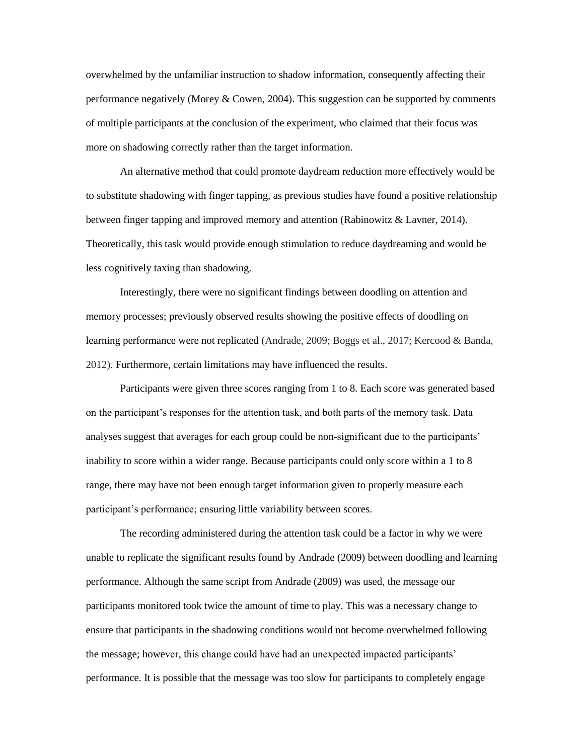overwhelmed by the unfamiliar instruction to shadow information, consequently affecting their performance negatively (Morey & Cowen, 2004). This suggestion can be supported by comments of multiple participants at the conclusion of the experiment, who claimed that their focus was more on shadowing correctly rather than the target information.

An alternative method that could promote daydream reduction more effectively would be to substitute shadowing with finger tapping, as previous studies have found a positive relationship between finger tapping and improved memory and attention (Rabinowitz & Lavner, 2014). Theoretically, this task would provide enough stimulation to reduce daydreaming and would be less cognitively taxing than shadowing.

Interestingly, there were no significant findings between doodling on attention and memory processes; previously observed results showing the positive effects of doodling on learning performance were not replicated (Andrade, 2009; Boggs et al., 2017; Kercood & Banda, 2012). Furthermore, certain limitations may have influenced the results.

Participants were given three scores ranging from 1 to 8. Each score was generated based on the participant's responses for the attention task, and both parts of the memory task. Data analyses suggest that averages for each group could be non-significant due to the participants' inability to score within a wider range. Because participants could only score within a 1 to 8 range, there may have not been enough target information given to properly measure each participant's performance; ensuring little variability between scores.

The recording administered during the attention task could be a factor in why we were unable to replicate the significant results found by Andrade (2009) between doodling and learning performance. Although the same script from Andrade (2009) was used, the message our participants monitored took twice the amount of time to play. This was a necessary change to ensure that participants in the shadowing conditions would not become overwhelmed following the message; however, this change could have had an unexpected impacted participants' performance. It is possible that the message was too slow for participants to completely engage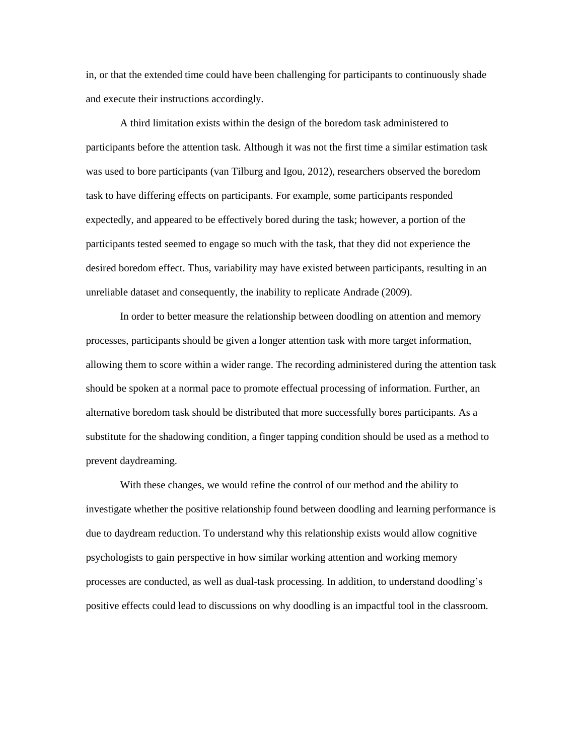in, or that the extended time could have been challenging for participants to continuously shade and execute their instructions accordingly.

A third limitation exists within the design of the boredom task administered to participants before the attention task. Although it was not the first time a similar estimation task was used to bore participants (van Tilburg and Igou, 2012), researchers observed the boredom task to have differing effects on participants. For example, some participants responded expectedly, and appeared to be effectively bored during the task; however, a portion of the participants tested seemed to engage so much with the task, that they did not experience the desired boredom effect. Thus, variability may have existed between participants, resulting in an unreliable dataset and consequently, the inability to replicate Andrade (2009).

In order to better measure the relationship between doodling on attention and memory processes, participants should be given a longer attention task with more target information, allowing them to score within a wider range. The recording administered during the attention task should be spoken at a normal pace to promote effectual processing of information. Further, an alternative boredom task should be distributed that more successfully bores participants. As a substitute for the shadowing condition, a finger tapping condition should be used as a method to prevent daydreaming.

With these changes, we would refine the control of our method and the ability to investigate whether the positive relationship found between doodling and learning performance is due to daydream reduction. To understand why this relationship exists would allow cognitive psychologists to gain perspective in how similar working attention and working memory processes are conducted, as well as dual-task processing. In addition, to understand doodling's positive effects could lead to discussions on why doodling is an impactful tool in the classroom.